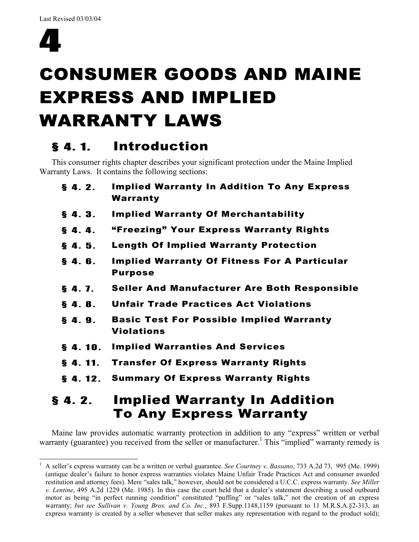

# CONSUMER GOODS AND MAINE EXPRESS AND IMPLIED WARRANTY LAWS

# § 4. 1. Introduction

This consumer rights chapter describes your significant protection under the Maine Implied Warranty Laws. It contains the following sections:

| 4. 2.   | <b>Implied Warranty In Addition</b>                                   |
|---------|-----------------------------------------------------------------------|
| \$4.12. | <b>Summary Of Express Warranty Rights</b>                             |
| \$4.11. | <b>Transfer Of Express Warranty Rights</b>                            |
| \$4.10. | <b>Implied Warranties And Services</b>                                |
| \$4.9.  | <b>Basic Test For Possible Implied Warranty</b><br><b>Violations</b>  |
| \$4.8.  | <b>Unfair Trade Practices Act Violations</b>                          |
| \$4.7.  | <b>Seller And Manufacturer Are Both Responsible</b>                   |
| \$4.6.  | <b>Implied Warranty Of Fitness For A Particular</b><br><b>Purpose</b> |
| \$4.5.  | <b>Length Of Implied Warranty Protection</b>                          |
| \$4.4.  | "Freezing" Your Express Warranty Rights                               |
| \$4.3.  | <b>Implied Warranty Of Merchantability</b>                            |
| \$4.2.  | <b>Implied Warranty In Addition To Any Express</b><br>Warranty        |

# § 4. 2. Implied Warranty In Addition To Any Express Warranty

Maine law provides automatic warranty protection in addition to any "express" written or verbal warranty (guarantee) you received from the seller or manufacturer.<sup>1</sup> This "implied" warranty remedy is

l 1 A seller's express warranty can be a written or verbal guarantee. *See Courtney v. Bassano*, 733 A.2d 73, 995 (Me. 1999) (antique dealer's failure to honor express warranties violates Maine Unfair Trade Practices Act and consumer awarded restitution and attorney fees). Mere "sales talk," however, should not be considered a U.C.C. express warranty. *See Miller v. Lentine*, 495 A.2d 1229 (Me. 1985). In this case the court held that a dealer's statement describing a used outboard motor as being "in perfect running condition" constituted "puffing" or "sales talk," not the creation of an express warranty; *but see Sullivan v. Young Bros. and Co. Inc.*, 893 F.Supp.1148,1159 (pursuant to 11 M.R.S.A.§2-313, an express warranty is created by a seller whenever that seller makes any representation with regard to the product sold);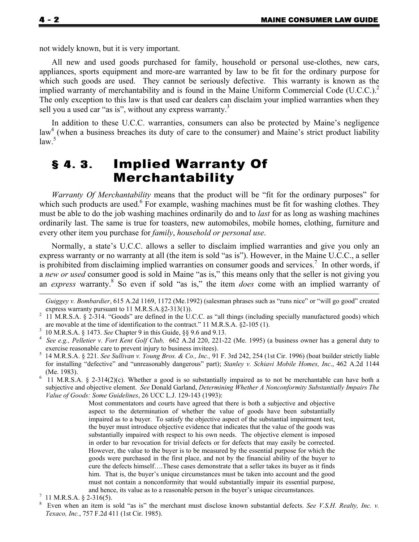not widely known, but it is very important.

All new and used goods purchased for family, household or personal use-clothes, new cars, appliances, sports equipment and more-are warranted by law to be fit for the ordinary purpose for which such goods are used. They cannot be seriously defective. This warranty is known as the implied warranty of merchantability and is found in the Maine Uniform Commercial Code (U.C.C.).<sup>2</sup> The only exception to this law is that used car dealers can disclaim your implied warranties when they sell you a used car "as is", without any express warranty.<sup>3</sup>

In addition to these U.C.C. warranties, consumers can also be protected by Maine's negligence law<sup>4</sup> (when a business breaches its duty of care to the consumer) and Maine's strict product liability  $law.<sup>5</sup>$ 

## § 4. 3. Implied Warranty Of Merchantability

*Warranty Of Merchantability* means that the product will be "fit for the ordinary purposes" for which such products are used.<sup>6</sup> For example, washing machines must be fit for washing clothes. They must be able to do the job washing machines ordinarily do and to *last* for as long as washing machines ordinarily last. The same is true for toasters, new automobiles, mobile homes, clothing, furniture and every other item you purchase for *family*, *household or personal use*.

Normally, a state's U.C.C. allows a seller to disclaim implied warranties and give you only an express warranty or no warranty at all (the item is sold "as is"). However, in the Maine U.C.C., a seller is prohibited from disclaiming implied warranties on consumer goods and services.<sup>7</sup> In other words, if a *new or used* consumer good is sold in Maine "as is," this means only that the seller is not giving you an *express* warranty.<sup>8</sup> So even if sold "as is," the item *does* come with an implied warranty of

Most commentators and courts have agreed that there is both a subjective and objective aspect to the determination of whether the value of goods have been substantially impaired as to a buyer. To satisfy the objective aspect of the substantial impairment test, the buyer must introduce objective evidence that indicates that the value of the goods was substantially impaired with respect to his own needs. The objective element is imposed in order to bar revocation for trivial defects or for defects that may easily be corrected. However, the value to the buyer is to be measured by the essential purpose for which the goods were purchased in the first place, and not by the financial ability of the buyer to cure the defects himself….These cases demonstrate that a seller takes its buyer as it finds him. That is, the buyer's unique circumstances must be taken into account and the good must not contain a nonconformity that would substantially impair its essential purpose, and hence, its value as to a reasonable person in the buyer's unique circumstances. 7

٦

l

*Guiggey v. Bombardier*, 615 A.2d 1169, 1172 (Me.1992) (salesman phrases such as "runs nice" or "will go good" created express warranty pursuant to 11 M.R.S.A.§2-313(1)).<br><sup>2</sup> 11 M.R.S.A. § 2-314. "Goods" are defined in the U.C.C. as "all things (including specially manufactured goods) which

are movable at the time of identification to the contract." 11 M.R.S.A. §2-105 (1).

<sup>&</sup>lt;sup>3</sup> 10 M.R.S.A. § 1473. *See* Chapter 9 in this Guide, §§ 9.6 and 9.13.

*See e.g., Pelletier v. Fort Kent Golf Club,* 662 A.2d 220, 221-22 (Me. 1995) (a business owner has a general duty to exercise reasonable care to prevent injury to business invitees).<br><sup>5</sup> 14 M.R.S.A. § 221. *See Sullivan v. Young Bros. & Co., Inc.*, 91 F. 3rd 242, 254 (1st Cir. 1996) (boat builder strictly liable

for installing "defective" and "unreasonably dangerous" part); *Stanley v. Schiavi Mobile Homes, Inc*., 462 A.2d 1144 (Me. 1983).

 <sup>11</sup> M.R.S.A. § 2-314(2)(c). Whether a good is so substantially impaired as to not be merchantable can have both a subjective and objective element. *See* Donald Garland, *Determining Whether A Nonconformity Substantially Impairs The Value of Goods: Some Guidelines*, 26 UCC L.J. 129-143 (1993):

 $^7$  11 M.R.S.A. § 2-316(5).

<sup>8</sup> Even when an item is sold "as is" the merchant must disclose known substantial defects. *See V.S.H. Realty, Inc. v. Texaco, Inc.*, 757 F.2d 411 (1st Cir. 1985).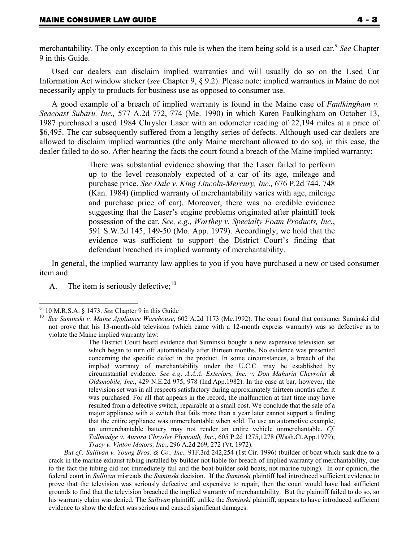l

merchantability. The only exception to this rule is when the item being sold is a used car.<sup>9</sup> *See* Chapter 9 in this Guide.

Used car dealers can disclaim implied warranties and will usually do so on the Used Car Information Act window sticker (*see* Chapter 9, § 9.2). Please note: implied warranties in Maine do not necessarily apply to products for business use as opposed to consumer use.

A good example of a breach of implied warranty is found in the Maine case of *Faulkingham v. Seacoast Subaru, Inc.,* 577 A.2d 772, 774 (Me. 1990) in which Karen Faulkingham on October 13, 1987 purchased a used 1984 Chrysler Laser with an odometer reading of 22,194 miles at a price of \$6,495. The car subsequently suffered from a lengthy series of defects. Although used car dealers are allowed to disclaim implied warranties (the only Maine merchant allowed to do so), in this case, the dealer failed to do so. After hearing the facts the court found a breach of the Maine implied warranty:

> There was substantial evidence showing that the Laser failed to perform up to the level reasonably expected of a car of its age, mileage and purchase price. *See Dale v. King Lincoln-Mercury, Inc.,* 676 P.2d 744, 748 (Kan. 1984) (implied warranty of merchantability varies with age, mileage and purchase price of car). Moreover, there was no credible evidence suggesting that the Laser's engine problems originated after plaintiff took possession of the car. *See, e.g., Worthey v. Specialty Foam Products, Inc.*, 591 S.W.2d 145, 149-50 (Mo. App. 1979). Accordingly, we hold that the evidence was sufficient to support the District Court's finding that defendant breached its implied warranty of merchantability.

In general, the implied warranty law applies to you if you have purchased a new or used consumer item and:

A. The item is seriously defective;  $10$ 

<sup>9</sup>

<sup>&</sup>lt;sup>9</sup> 10 M.R.S.A. § 1473. *See* Chapter 9 in this Guide<br><sup>10</sup> *See Suminski v. Maine Appliance Warehouse*, 602 A.2d 1173 (Me.1992). The court found that consumer Suminski did not prove that his 13-month-old television (which came with a 12-month express warranty) was so defective as to violate the Maine implied warranty law:

The District Court heard evidence that Suminski bought a new expensive television set which began to turn off automatically after thirteen months. No evidence was presented concerning the specific defect in the product. In some circumstances, a breach of the implied warranty of merchantability under the U.C.C. may be established by circumstantial evidence. *See e.g*. *A.A.A. Exteriors, Inc. v. Don Mahurin Chevrolet & Oldsmobile, Inc.*, 429 N.E.2d 975, 978 (Ind.App.1982). In the case at bar, however, the television set was in all respects satisfactory during approximately thirteen months after it was purchased. For all that appears in the record, the malfunction at that time may have resulted from a defective switch, repairable at a small cost. We conclude that the sale of a major appliance with a switch that fails more than a year later cannot support a finding that the entire appliance was unmerchantable when sold. To use an automotive example, an unmerchantable battery may not render an entire vehicle unmerchantable. *Cf. Tallmadge v. Aurora Chrysler Plymouth, Inc.*, 605 P.2d 1275,1278 (Wash.Ct.App.1979); *Tracy v. Vinton Motors, Inc.*, 296 A.2d 269, 272 (Vt. 1972).

*But cf., Sullivan v. Young Bros. & Co., Inc.,* 91F.3rd 242,254 (1st Cir. 1996) (builder of boat which sank due to a crack in the marine exhaust tubing installed by builder not liable for breach of implied warranty of merchantability, due to the fact the tubing did not immediately fail and the boat builder sold boats, not marine tubing). In our opinion, the federal court in *Sullivan* misreads the *Suminski* decision. If the *Suminski* plaintiff had introduced sufficient evidence to prove that the television was seriously defective and expensive to repair, then the court would have had sufficient grounds to find that the television breached the implied warranty of merchantability. But the plaintiff failed to do so, so his warranty claim was denied. The *Sullivan* plaintiff, unlike the *Suminski* plaintiff, appears to have introduced sufficient evidence to show the defect was serious and caused significant damages.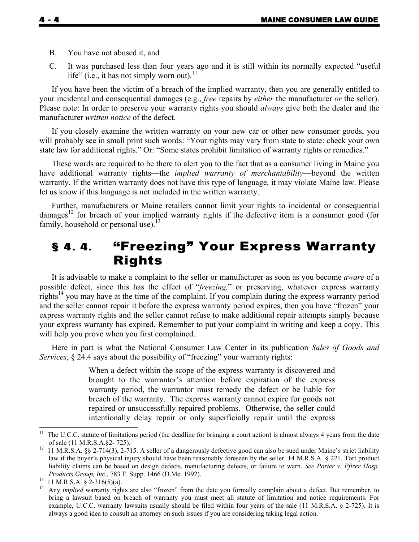- B. You have not abused it, and
- C. It was purchased less than four years ago and it is still within its normally expected "useful life" (i.e., it has not simply worn out).<sup>11</sup>

If you have been the victim of a breach of the implied warranty, then you are generally entitled to your incidental and consequential damages (e.g., *free* repairs by *either* the manufacturer *or* the seller). Please note: In order to preserve your warranty rights you should *always* give both the dealer and the manufacturer *written notice* of the defect.

If you closely examine the written warranty on your new car or other new consumer goods, you will probably see in small print such words: "Your rights may vary from state to state: check your own state law for additional rights." Or: "Some states prohibit limitation of warranty rights or remedies."

These words are required to be there to alert you to the fact that as a consumer living in Maine you have additional warranty rights—the *implied warranty of merchantability*—beyond the written warranty. If the written warranty does not have this type of language, it may violate Maine law. Please let us know if this language is not included in the written warranty.

Further, manufacturers or Maine retailers cannot limit your rights to incidental or consequential damages<sup>12</sup> for breach of your implied warranty rights if the defective item is a consumer good (for family, household or personal use). $13$ 

### § 4. 4. "Freezing" Your Express Warranty Rights

It is advisable to make a complaint to the seller or manufacturer as soon as you become *aware* of a possible defect, since this has the effect of "*freezing,*" or preserving, whatever express warranty rights<sup>14</sup> you may have at the time of the complaint. If you complain during the express warranty period and the seller cannot repair it before the express warranty period expires, then you have "frozen" your express warranty rights and the seller cannot refuse to make additional repair attempts simply because your express warranty has expired. Remember to put your complaint in writing and keep a copy. This will help you prove when you first complained.

Here in part is what the National Consumer Law Center in its publication *Sales of Goods and Services*, § 24.4 says about the possibility of "freezing" your warranty rights:

> When a defect within the scope of the express warranty is discovered and brought to the warrantor's attention before expiration of the express warranty period, the warrantor must remedy the defect or be liable for breach of the warranty. The express warranty cannot expire for goods not repaired or unsuccessfully repaired problems. Otherwise, the seller could intentionally delay repair or only superficially repair until the express

l

٦

 $11$  The U.C.C. statute of limitations period (the deadline for bringing a court action) is almost always 4 years from the date

of sale (11 M.R.S.A.§2- 725).<br><sup>12</sup> 11 M.R.S.A. §§ 2-714(3), 2-715. A seller of a dangerously defective good can also be sued under Maine's strict liability law if the buyer's physical injury should have been reasonably foreseen by the seller. 14 M.R.S.A. § 221. Tort product liability claims can be based on design defects, manufacturing defects, or failure to warn. *See Porter v. Pfizer Hosp. Products Group, Inc.*, 783 F. Supp. 1466 (D.Me. 1992).<br><sup>13</sup> 11 M.R.S.A. § 2-316(5)(a).

<sup>&</sup>lt;sup>14</sup> Any *implied* warranty rights are also "frozen" from the date you formally complain about a defect. But remember, to bring a lawsuit based on breach of warranty you must meet all statute of limitation and notice requirements. For example, U.C.C. warranty lawsuits usually should be filed within four years of the sale (11 M.R.S.A. § 2-725). It is always a good idea to consult an attorney on such issues if you are considering taking legal action.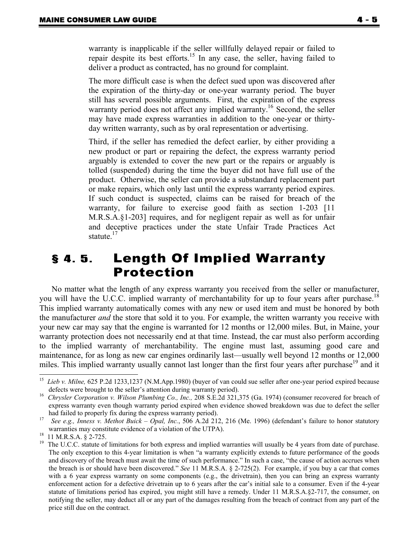warranty is inapplicable if the seller willfully delayed repair or failed to repair despite its best efforts.15 In any case, the seller, having failed to deliver a product as contracted, has no ground for complaint.

The more difficult case is when the defect sued upon was discovered after the expiration of the thirty-day or one-year warranty period. The buyer still has several possible arguments. First, the expiration of the express warranty period does not affect any implied warranty.<sup>16</sup> Second, the seller may have made express warranties in addition to the one-year or thirtyday written warranty, such as by oral representation or advertising.

Third, if the seller has remedied the defect earlier, by either providing a new product or part or repairing the defect, the express warranty period arguably is extended to cover the new part or the repairs or arguably is tolled (suspended) during the time the buyer did not have full use of the product. Otherwise, the seller can provide a substandard replacement part or make repairs, which only last until the express warranty period expires. If such conduct is suspected, claims can be raised for breach of the warranty, for failure to exercise good faith as section 1-203 [11 M.R.S.A.§1-203] requires, and for negligent repair as well as for unfair and deceptive practices under the state Unfair Trade Practices Act statute. $17$ 

#### § 4. 5. Length Of Implied Warranty Protection

No matter what the length of any express warranty you received from the seller or manufacturer, you will have the U.C.C. implied warranty of merchantability for up to four years after purchase.<sup>18</sup> This implied warranty automatically comes with any new or used item and must be honored by both the manufacturer *and* the store that sold it to you. For example, the written warranty you receive with your new car may say that the engine is warranted for 12 months or 12,000 miles. But, in Maine, your warranty protection does not necessarily end at that time. Instead, the car must also perform according to the implied warranty of merchantability. The engine must last, assuming good care and maintenance, for as long as new car engines ordinarily last—usually well beyond 12 months or 12,000 miles. This implied warranty usually cannot last longer than the first four years after purchase<sup>19</sup> and it

 $15\,$ 15 *Lieb v. Milne,* 625 P.2d 1233,1237 (N.M.App.1980) (buyer of van could sue seller after one-year period expired because defects were brought to the seller's attention during warranty period).<br>Chrysler Corporation v. Wilson Plumbing Co., Inc., 208 S.E.2d 321,375 (Ga. 1974) (consumer recovered for breach of

express warranty even though warranty period expired when evidence showed breakdown was due to defect the seller had failed to properly fix during the express warranty period).<br><sup>17</sup> *See e.g., Inness v. Methot Buick – Opal, Inc.*, 506 A.2d 212, 216 (Me. 1996) (defendant's failure to honor statutory

warranties may constitute evidence of a violation of the UTPA).<br><sup>18</sup> 11 M.R.S.A. § 2-725.

<sup>&</sup>lt;sup>19</sup> The U.C.C. statute of limitations for both express and implied warranties will usually be 4 years from date of purchase. The only exception to this 4-year limitation is when "a warranty explicitly extends to future performance of the goods and discovery of the breach must await the time of such performance." In such a case, "the cause of action accrues when the breach is or should have been discovered." *See* 11 M.R.S.A. § 2-725(2). For example, if you buy a car that comes with a 6 year express warranty on some components (e.g., the drivetrain), then you can bring an express warranty enforcement action for a defective drivetrain up to 6 years after the car's initial sale to a consumer. Even if the 4-year statute of limitations period has expired, you might still have a remedy. Under 11 M.R.S.A.§2-717, the consumer, on notifying the seller, may deduct all or any part of the damages resulting from the breach of contract from any part of the price still due on the contract.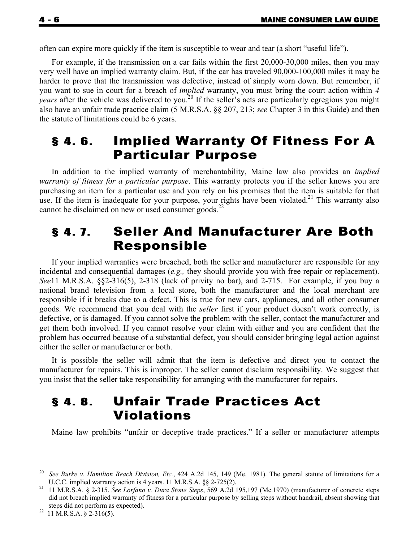often can expire more quickly if the item is susceptible to wear and tear (a short "useful life").

For example, if the transmission on a car fails within the first 20,000-30,000 miles, then you may very well have an implied warranty claim. But, if the car has traveled 90,000-100,000 miles it may be harder to prove that the transmission was defective, instead of simply worn down. But remember, if you want to sue in court for a breach of *implied* warranty, you must bring the court action within *4 years* after the vehicle was delivered to you.<sup>20</sup> If the seller's acts are particularly egregious you might also have an unfair trade practice claim (5 M.R.S.A. §§ 207, 213; *see* Chapter 3 in this Guide) and then the statute of limitations could be 6 years.

#### § 4. 6. Implied Warranty Of Fitness For A Particular Purpose

In addition to the implied warranty of merchantability, Maine law also provides an *implied warranty of fitness for a particular purpose*. This warranty protects you if the seller knows you are purchasing an item for a particular use and you rely on his promises that the item is suitable for that use. If the item is inadequate for your purpose, your rights have been violated.<sup>21</sup> This warranty also cannot be disclaimed on new or used consumer goods.<sup>22</sup>

#### § 4. 7. Seller And Manufacturer Are Both Responsible

If your implied warranties were breached, both the seller and manufacturer are responsible for any incidental and consequential damages (*e.g.,* they should provide you with free repair or replacement). *See*11 M.R.S.A. §§2-316(5), 2-318 (lack of privity no bar), and 2-715. For example, if you buy a national brand television from a local store, both the manufacturer and the local merchant are responsible if it breaks due to a defect. This is true for new cars, appliances, and all other consumer goods. We recommend that you deal with the *seller* first if your product doesn't work correctly, is defective, or is damaged. If you cannot solve the problem with the seller, contact the manufacturer and get them both involved. If you cannot resolve your claim with either and you are confident that the problem has occurred because of a substantial defect, you should consider bringing legal action against either the seller or manufacturer or both.

It is possible the seller will admit that the item is defective and direct you to contact the manufacturer for repairs. This is improper. The seller cannot disclaim responsibility. We suggest that you insist that the seller take responsibility for arranging with the manufacturer for repairs.

### § 4. 8. Unfair Trade Practices Act Violations

Maine law prohibits "unfair or deceptive trade practices." If a seller or manufacturer attempts

٦

 $20\,$ 20 *See Burke v. Hamilton Beach Division, Etc.*, 424 A.2d 145, 149 (Me. 1981). The general statute of limitations for a U.C.C. implied warranty action is 4 years. 11 M.R.S.A. §§ 2-725(2).<br><sup>21</sup> 11 M.R.S.A. § 2-315. *See Lorfano v. Dura Stone Steps*, 569 A.2d 195,197 (Me.1970) (manufacturer of concrete steps

did not breach implied warranty of fitness for a particular purpose by selling steps without handrail, absent showing that steps did not perform as expected).<br><sup>22</sup> 11 M.R.S.A. § 2-316(5).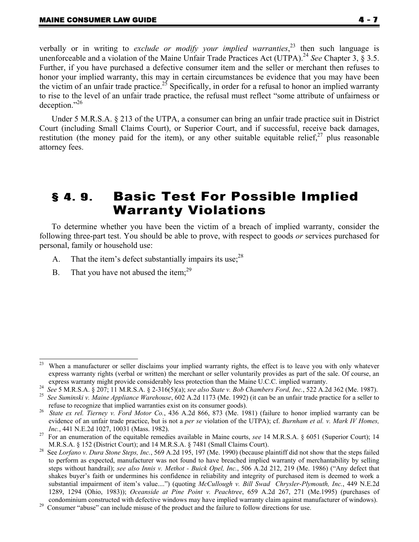verbally or in writing to *exclude or modify your implied warranties*, 23 then such language is unenforceable and a violation of the Maine Unfair Trade Practices Act (UTPA).<sup>24</sup> *See* Chapter 3, § 3.5. Further, if you have purchased a defective consumer item and the seller or merchant then refuses to honor your implied warranty, this may in certain circumstances be evidence that you may have been the victim of an unfair trade practice.<sup>25</sup> Specifically, in order for a refusal to honor an implied warranty to rise to the level of an unfair trade practice, the refusal must reflect "some attribute of unfairness or deception."26

Under 5 M.R.S.A. § 213 of the UTPA, a consumer can bring an unfair trade practice suit in District Court (including Small Claims Court), or Superior Court, and if successful, receive back damages, restitution (the money paid for the item), or any other suitable equitable relief,  $27$  plus reasonable attorney fees.

### § 4. 9. Basic Test For Possible Implied Warranty Violations

To determine whether you have been the victim of a breach of implied warranty, consider the following three-part test. You should be able to prove, with respect to goods *or* services purchased for personal, family or household use:

- A. That the item's defect substantially impairs its use;  $28$
- B. That you have not abused the item: $^{29}$

<sup>23</sup> When a manufacturer or seller disclaims your implied warranty rights, the effect is to leave you with only whatever express warranty rights (verbal or written) the merchant or seller voluntarily provides as part of the sale. Of course, an

express warranty might provide considerably less protection than the Maine U.C.C. implied warranty.<br><sup>24</sup> See 5 M.R.S.A. § 207; 11 M.R.S.A. § 2-316(5)(a); *see also State v. Bob Chambers Ford, Inc.*, 522 A.2d 362 (Me. 1987) refuse to recognize that implied warranties exist on its consumer goods). 26 *State ex rel. Tierney v. Ford Motor Co.*, 436 A.2d 866, 873 (Me. 1981) (failure to honor implied warranty can be

evidence of an unfair trade practice, but is not a *per se* violation of the UTPA); cf. *Burnham et al. v. Mark IV Homes,* 

*Inc.*, 441 N.E.2d 1027, 10031 (Mass. 1982).<br><sup>27</sup> For an enumeration of the equitable remedies available in Maine courts, *see* 14 M.R.S.A. § 6051 (Superior Court); 14

M.R.S.A. § 152 (District Court); and 14 M.R.S.A. § 7481 (Small Claims Court). 28 See *Lorfano v. Dura Stone Steps, Inc.*, 569 A.2d 195, 197 (Me. 1990) (because plaintiff did not show that the steps failed to perform as expected, manufacturer was not found to have breached implied warranty of merchantability by selling steps without handrail); *see also Innis v. Methot - Buick Opel, Inc.*, 506 A.2d 212, 219 (Me. 1986) ("Any defect that shakes buyer's faith or undermines his confidence in reliability and integrity of purchased item is deemed to work a substantial impairment of item's value....") (quoting *McCullough v. Bill Swad Chrysler-Plymouth, Inc.*, 449 N.E.2d 1289, 1294 (Ohio, 1983)); *Oceanside at Pine Point v. Peachtree*, 659 A.2d 267, 271 (Me.1995) (purchases of

condominium constructed with defective windows may have implied warranty claim against manufacturer of windows). 29 Consumer "abuse" can include misuse of the product and the failure to follow directions for use.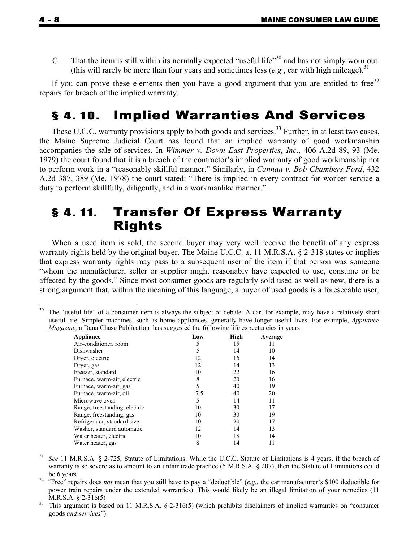C. That the item is still within its normally expected "useful life"<sup>30</sup> and has not simply worn out (this will rarely be more than four years and sometimes less  $(e.g.,$  car with high mileage).<sup>31</sup>

If you can prove these elements then you have a good argument that you are entitled to free $32$ repairs for breach of the implied warranty.

#### § 4. 10. Implied Warranties And Services

These U.C.C. warranty provisions apply to both goods and services.<sup>33</sup> Further, in at least two cases, the Maine Supreme Judicial Court has found that an implied warranty of good workmanship accompanies the sale of services. In *Wimmer v. Down East Properties, Inc.*, 406 A.2d 89, 93 (Me. 1979) the court found that it is a breach of the contractor's implied warranty of good workmanship not to perform work in a "reasonably skillful manner." Similarly, in *Cannan v. Bob Chambers Ford*, 432 A.2d 387, 389 (Me. 1978) the court stated: "There is implied in every contract for worker service a duty to perform skillfully, diligently, and in a workmanlike manner."

#### § 4. 11. Transfer Of Express Warranty Rights

When a used item is sold, the second buyer may very well receive the benefit of any express warranty rights held by the original buyer. The Maine U.C.C. at 11 M.R.S.A. § 2-318 states or implies that express warranty rights may pass to a subsequent user of the item if that person was someone "whom the manufacturer, seller or supplier might reasonably have expected to use, consume or be affected by the goods." Since most consumer goods are regularly sold used as well as new, there is a strong argument that, within the meaning of this language, a buyer of used goods is a foreseeable user,

<sup>&</sup>lt;sup>30</sup> The "useful life" of a consumer item is always the subject of debate. A car, for example, may have a relatively short useful life. Simpler machines, such as home appliances, generally have longer useful lives. For example, *Appliance Magazine,* a Dana Chase Publication*,* has suggested the following life expectancies in years:

| Appliance                     | Low | High | Average |
|-------------------------------|-----|------|---------|
| Air-conditioner, room         | 5   | 15   | 11      |
| Dishwasher                    | 5   | 14   | 10      |
| Dryer, electric               | 12  | 16   | 14      |
| Dryer, gas                    | 12  | 14   | 13      |
| Freezer, standard             | 10  | 22   | 16      |
| Furnace, warm-air, electric   | 8   | 20   | 16      |
| Furnace, warm-air, gas        | 5   | 40   | 19      |
| Furnace, warm-air, oil        | 7.5 | 40   | 20      |
| Microwaye oven                | 5   | 14   | 11      |
| Range, freestanding, electric | 10  | 30   | 17      |
| Range, freestanding, gas      | 10  | 30   | 19      |
| Refrigerator, standard size   | 10  | 20   | 17      |
| Washer, standard automatic    | 12  | 14   | 13      |
| Water heater, electric        | 10  | 18   | 14      |
| Water heater, gas             | 8   | 14   | 11      |

31 *See* 11 M.R.S.A. § 2-725, Statute of Limitations. While the U.C.C. Statute of Limitations is 4 years, if the breach of warranty is so severe as to amount to an unfair trade practice (5 M.R.S.A. § 207), then the Statute of Limitations could

be 6 years. 32 "Free" repairs does *not* mean that you still have to pay a "deductible" (*e.g.*, the car manufacturer's \$100 deductible for power train repairs under the extended warranties). This would likely be an illegal limitation of your remedies (11 M.R.S.A. § 2-316(5)<br><sup>33</sup> This argument is based on 11 M.R.S.A. § 2-316(5) (which prohibits disclaimers of implied warranties on "consumer

goods *and services*").

٦

l